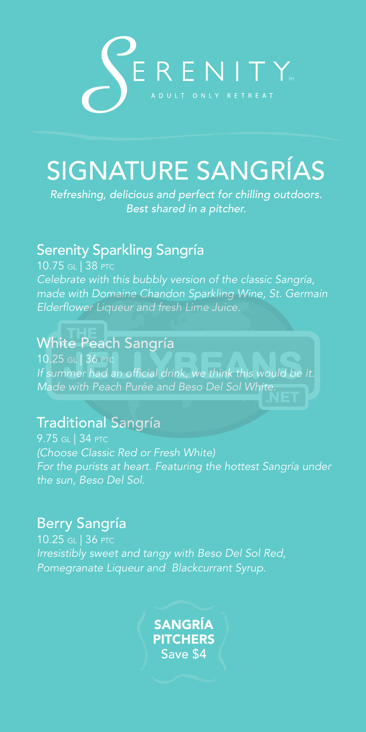

# SIGNATURE SANGRÍAS

*Refreshing, delicious and perfect for chilling outdoors. Best shared in a pitcher.*

### Serenity Sparkling Sangría

10.75 GL | 38 PTC *Celebrate with this bubbly version of the classic Sangría, made with Domaine Chandon Sparkling Wine, St. Germain Elderflower Liqueur and fresh Lime Juice.*

## White Peach Sangría

10.25 GL | 36 PTC *If summer had an official drink, we think this would be it. Made with Peach Purée and Beso Del Sol White.* 

## Traditional Sangría

9.75 GL | 34 PTC *(Choose Classic Red or Fresh White) For the purists at heart. Featuring the hottest Sangría under the sun, Beso Del Sol.*

## Berry Sangría

10.25 GL | 36 PTC *Irresistibly sweet and tangy with Beso Del Sol Red, Pomegranate Liqueur and Blackcurrant Syrup.*

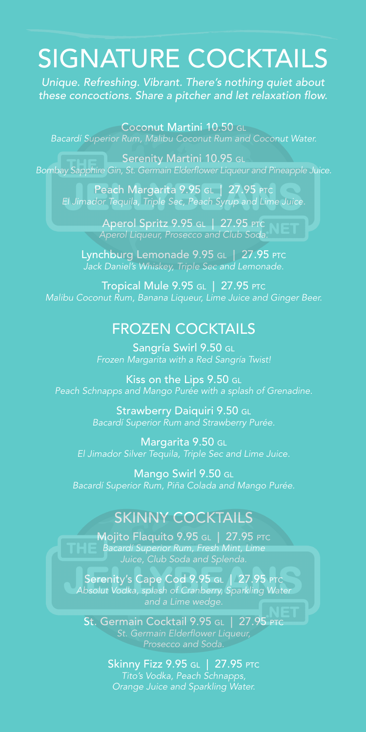# SIGNATURE COCKTAILS

*Unique. Refreshing. Vibrant. There's nothing quiet about these concoctions. Share a pitcher and let relaxation flow.*

Coconut Martini 10.50 GL *Bacardí Superior Rum, Malibu Coconut Rum and Coconut Water.*

Serenity Martini 10.95 GL *Bombay Sapphire Gin, St. Germain Elderflower Liqueur and Pineapple Juice.*

Peach Margarita 9.95 GL | 27.95 PTC *El Jimador Tequila, Triple Sec, Peach Syrup and Lime Juice.* 

> Aperol Spritz 9.95 GL | 27.95 PTC *Aperol Liqueur, Prosecco and Club Soda.*

Lynchburg Lemonade 9.95 GL | 27.95 PTC *Jack Daniel's Whiskey, Triple Sec and Lemonade.*

Tropical Mule 9.95 GL | 27.95 PTC *Malibu Coconut Rum, Banana Liqueur, Lime Juice and Ginger Beer.* 

### FROZEN COCKTAILS

Sangría Swirl 9.50 GL *Frozen Margarita with a Red Sangría Twist!*

Kiss on the Lips 9.50 GL *Peach Schnapps and Mango Purée with a splash of Grenadine.*

> Strawberry Daiquiri 9.50 GL *Bacardí Superior Rum and Strawberry Purée.*

Margarita 9.50 GL *El Jimador Silver Tequila, Triple Sec and Lime Juice.*

Mango Swirl 9.50 GL *Bacardí Superior Rum, Piña Colada and Mango Purée.*

## SKINNY COCKTAILS

Mojito Flaquito 9.95 GL | 27.95 PTC *Bacardí Superior Rum, Fresh Mint, Lime* 

Serenity's Cape Cod 9.95 GL | 27.95 PTC *Absolut Vodka, splash of Cranberry, Sparkling Water and a Lime wedge.*

St. Germain Cocktail 9.95 GL | 27.95 PTC

**Skinny Fizz 9.95 GL | 27.95 PTC** *Tito's Vodka, Peach Schnapps, Orange Juice and Sparkling Water.*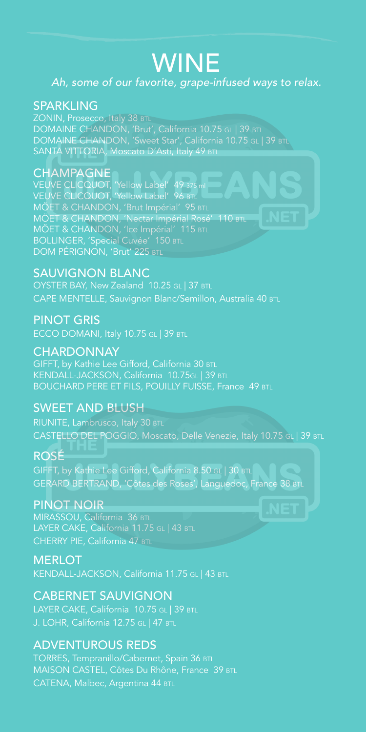## WINE

#### *Ah, some of our favorite, grape-infused ways to relax.*

#### **SPARKLING**

ZONIN, Prosecco, Italy 38 BTL DOMAINE CHANDON, 'Brut', California 10.75 GL | 39 BTL DOMAINE CHANDON, 'Sweet Star', California 10.75 GL | 39 BTL SANTA VITTORIA, Moscato D'Asti, Italy 49 BTL

#### **CHAMPAGNE**

VEUVE CLICQUOT, 'Yellow Label' 49 375 ml VEUVE CLICQUOT, 'Yellow Label' 96 BTL MÖET & CHANDON, 'Brut Impérial' 95 BTL MÖET & CHANDON, 'Nectar Impérial Rosé' 110 BTL MÖET & CHANDON, 'Ice Impérial' 115 BTL BOLLINGER, 'Special Cuvée' 150 BTL DOM PÉRIGNON, 'Brut' 225 BTL

#### SAUVIGNON BLANC

OYSTER BAY, New Zealand 10.25 GL | 37 BTL CAPE MENTELLE, Sauvignon Blanc/Semillon, Australia 40 BTL

#### PINOT GRIS

ECCO DOMANI, Italy 10.75 GL | 39 BTL

#### **CHARDONNAY**

GIFFT, by Kathie Lee Gifford, California 30 BTL KENDALL-JACKSON, California 10.75GL | 39 BTL BOUCHARD PERE ET FILS, POUILLY FUISSE, France 49 BTL

#### SWEET AND BLUSH

RIUNITE, Lambrusco, Italy 30 BTL CASTELLO DEL POGGIO, Moscato, Delle Venezie, Italy 10.75 GL | 39 BTL

#### ROSÉ

GIFFT, by Kathie Lee Gifford, California 8.50 GL | 30 BTL GERARD BERTRAND, 'Côtes des Roses', Languedoc, France 38 BTL

#### PINOT NOIR

MIRASSOU, California 36 BTL LAYER CAKE, California 11.75 GL | 43 BTL CHERRY PIE, California 47 BTL

#### **MERLOT**

KENDALL-JACKSON, California 11.75 GL | 43 BTL

#### CABERNET SAUVIGNON

LAYER CAKE, California 10.75 GL | 39 BTL

#### ADVENTUROUS REDS

TORRES, Tempranillo/Cabernet, Spain 36 BTL MAISON CASTEL, Côtes Du Rhône, France 39 BTL CATENA, Malbec, Argentina 44 BTL